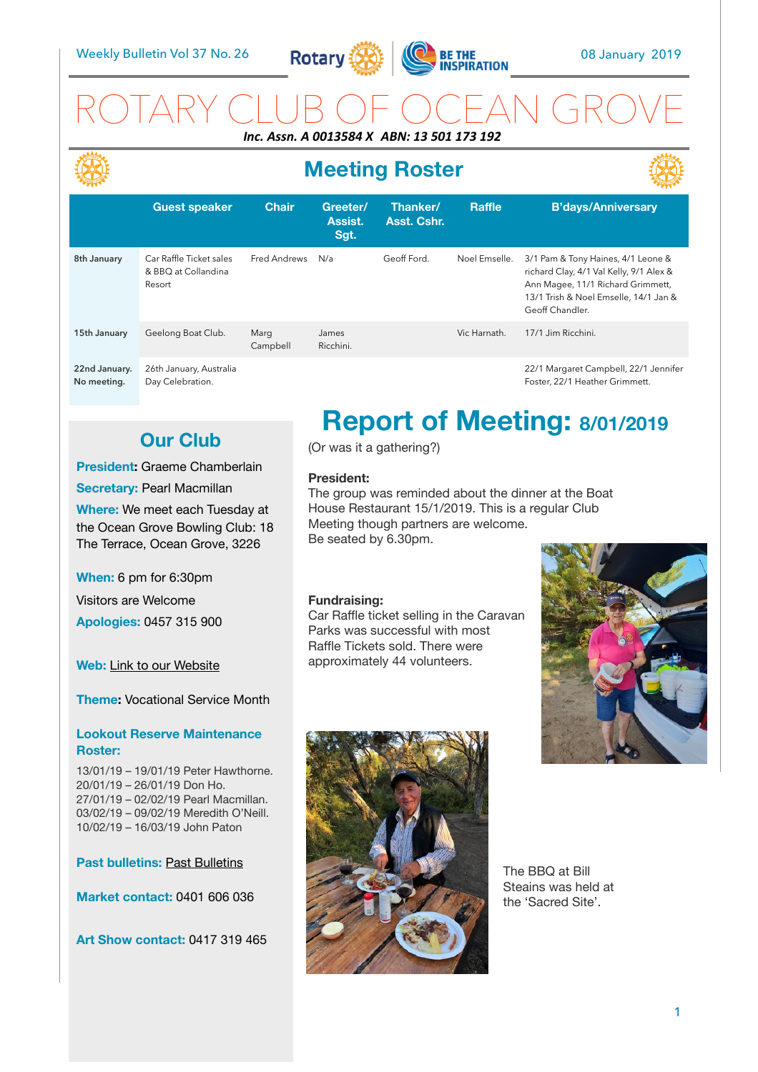

## ROTARY CLUB OF OCEAN GROVE *Inc. Assn. A 0013584 X ABN: 13 501 173 192*

# **Meeting Roster**



|                              | <b>Guest speaker</b>                                     | <b>Chair</b>     | Greeter/<br>Assist.<br>Sgt. | Thanker/<br>Asst. Cshr. | <b>Raffle</b> | <b>B'days/Anniversary</b>                                                                                                                                                      |
|------------------------------|----------------------------------------------------------|------------------|-----------------------------|-------------------------|---------------|--------------------------------------------------------------------------------------------------------------------------------------------------------------------------------|
| 8th January                  | Car Raffle Ticket sales<br>& BBO at Collandina<br>Resort | Fred Andrews     | N/a                         | Geoff Ford.             | Noel Emselle. | 3/1 Pam & Tony Haines, 4/1 Leone &<br>richard Clay, 4/1 Val Kelly, 9/1 Alex &<br>Ann Magee, 11/1 Richard Grimmett,<br>13/1 Trish & Noel Emselle, 14/1 Jan &<br>Geoff Chandler. |
| 15th January                 | Geelong Boat Club.                                       | Marg<br>Campbell | James<br>Ricchini.          |                         | Vic Harnath.  | 17/1 Jim Ricchini.                                                                                                                                                             |
| 22nd January.<br>No meeting. | 26th January, Australia<br>Day Celebration.              |                  |                             |                         |               | 22/1 Margaret Campbell, 22/1 Jennifer<br>Foster, 22/1 Heather Grimmett.                                                                                                        |

## **Our Club**

### **President:** Graeme Chamberlain

**Secretary: Pearl Macmillan** 

**Where:** We meet each Tuesday at the Ocean Grove Bowling Club: 18 The Terrace, Ocean Grove, 3226

**When:** 6 pm for 6:30pm

Visitors are Welcome **Apologies:** 0457 315 900

**Web:** [Link to our Website](http://rotaryoceangrove.org.au)

**Theme:** Vocational Service Month

## **Lookout Reserve Maintenance Roster:**

13/01/19 – 19/01/19 Peter Hawthorne. 20/01/19 – 26/01/19 Don Ho. 27/01/19 – 02/02/19 Pearl Macmillan. 03/02/19 – 09/02/19 Meredith O'Neill. 10/02/19 – 16/03/19 John Paton

**Past bulletins: [Past Bulletins](http://rotaryoceangrove.blogspot.com.au/search?updated-max=2018-03-18T09:00:00+11:00&max-results=1)** 

**Market contact:** 0401 606 036

**Art Show contact:** 0417 319 465

# **Report of Meeting: 8/01/2019**

(Or was it a gathering?)

## **President:**

The group was reminded about the dinner at the Boat House Restaurant 15/1/2019. This is a regular Club Meeting though partners are welcome. Be seated by 6.30pm.

## **Fundraising:**

Car Raffle ticket selling in the Caravan Parks was successful with most Raffle Tickets sold. There were approximately 44 volunteers.





The BBQ at Bill Steains was held at the 'Sacred Site'.